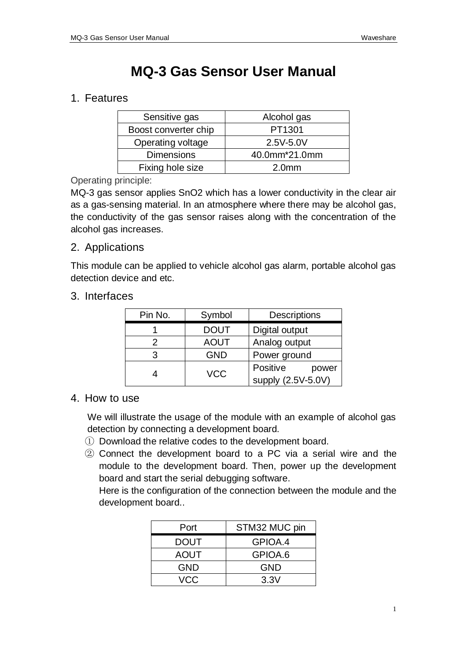# **MQ-3 Gas Sensor User Manual**

## 1. Features

| Sensitive gas        | Alcohol gas       |
|----------------------|-------------------|
| Boost converter chip | PT1301            |
| Operating voltage    | 2.5V-5.0V         |
| <b>Dimensions</b>    | 40.0mm*21.0mm     |
| Fixing hole size     | 2.0 <sub>mm</sub> |

#### Operating principle:

MQ-3 gas sensor applies SnO2 which has a lower conductivity in the clear air as a gas-sensing material. In an atmosphere where there may be alcohol gas, the conductivity of the gas sensor raises along with the concentration of the alcohol gas increases.

### 2. Applications

This module can be applied to vehicle alcohol gas alarm, portable alcohol gas detection device and etc.

#### 3. Interfaces

| Pin No. | Symbol      | <b>Descriptions</b>                     |
|---------|-------------|-----------------------------------------|
|         | <b>DOUT</b> | Digital output                          |
| 2       | <b>AOUT</b> | Analog output                           |
| 3       | <b>GND</b>  | Power ground                            |
|         | <b>VCC</b>  | Positive<br>power<br>supply (2.5V-5.0V) |

### 4. How to use

We will illustrate the usage of the module with an example of alcohol gas detection by connecting a development board.

- ① Download the relative codes to the development board.
- ② Connect the development board to a PC via a serial wire and the module to the development board. Then, power up the development board and start the serial debugging software.

Here is the configuration of the connection between the module and the development board..

| Port        | STM32 MUC pin |
|-------------|---------------|
| <b>DOUT</b> | GPIOA.4       |
| <b>AOUT</b> | GPIOA.6       |
| <b>GND</b>  | <b>GND</b>    |
| VCC         | 3.3V          |